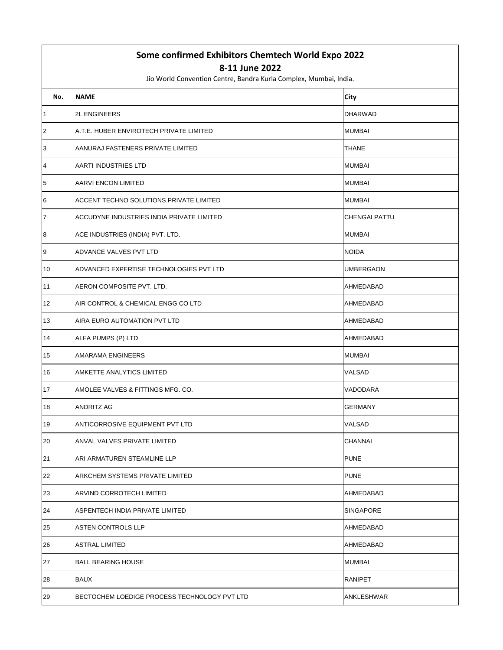## **Some confirmed Exhibitors Chemtech World Expo 2022**

## **8-11 June 2022**

Jio World Convention Centre, Bandra Kurla Complex, Mumbai, India.

| No.              | <b>NAME</b>                                  | City             |
|------------------|----------------------------------------------|------------------|
| 1                | <b>2L ENGINEERS</b>                          | <b>DHARWAD</b>   |
| $\overline{c}$   | A.T.E. HUBER ENVIROTECH PRIVATE LIMITED      | <b>MUMBAI</b>    |
| 3                | AANURAJ FASTENERS PRIVATE LIMITED            | THANE            |
| $\overline{4}$   | AARTI INDUSTRIES LTD                         | <b>MUMBAI</b>    |
| 5                | AARVI ENCON LIMITED                          | <b>MUMBAI</b>    |
| 6                | ACCENT TECHNO SOLUTIONS PRIVATE LIMITED      | <b>MUMBAI</b>    |
| $\overline{7}$   | ACCUDYNE INDUSTRIES INDIA PRIVATE LIMITED    | CHENGALPATTU     |
| $\boldsymbol{8}$ | ACE INDUSTRIES (INDIA) PVT. LTD.             | <b>MUMBAI</b>    |
| 9                | ADVANCE VALVES PVT LTD                       | <b>NOIDA</b>     |
| 10               | ADVANCED EXPERTISE TECHNOLOGIES PVT LTD      | UMBERGAON        |
| 11               | AERON COMPOSITE PVT. LTD.                    | AHMEDABAD        |
| 12               | AIR CONTROL & CHEMICAL ENGG CO LTD           | AHMEDABAD        |
| 13               | AIRA EURO AUTOMATION PVT LTD                 | AHMEDABAD        |
| 14               | ALFA PUMPS (P) LTD                           | AHMEDABAD        |
| 15               | AMARAMA ENGINEERS                            | <b>MUMBAI</b>    |
| 16               | AMKETTE ANALYTICS LIMITED                    | VALSAD           |
| 17               | AMOLEE VALVES & FITTINGS MFG. CO.            | VADODARA         |
| 18               | <b>ANDRITZ AG</b>                            | GERMANY          |
| 19               | ANTICORROSIVE EQUIPMENT PVT LTD              | VALSAD           |
| 20               | ANVAL VALVES PRIVATE LIMITED                 | CHANNAI          |
| 21               | ARI ARMATUREN STEAMLINE LLP                  | <b>PUNE</b>      |
| 22               | ARKCHEM SYSTEMS PRIVATE LIMITED              | <b>PUNE</b>      |
| 23               | ARVIND CORROTECH LIMITED                     | AHMEDABAD        |
| 24               | ASPENTECH INDIA PRIVATE LIMITED              | <b>SINGAPORE</b> |
| 25               | <b>ASTEN CONTROLS LLP</b>                    | AHMEDABAD        |
| 26               | <b>ASTRAL LIMITED</b>                        | AHMEDABAD        |
| 27               | <b>BALL BEARING HOUSE</b>                    | <b>MUMBAI</b>    |
| 28               | <b>BAUX</b>                                  | <b>RANIPET</b>   |
| 29               | BECTOCHEM LOEDIGE PROCESS TECHNOLOGY PVT LTD | ANKLESHWAR       |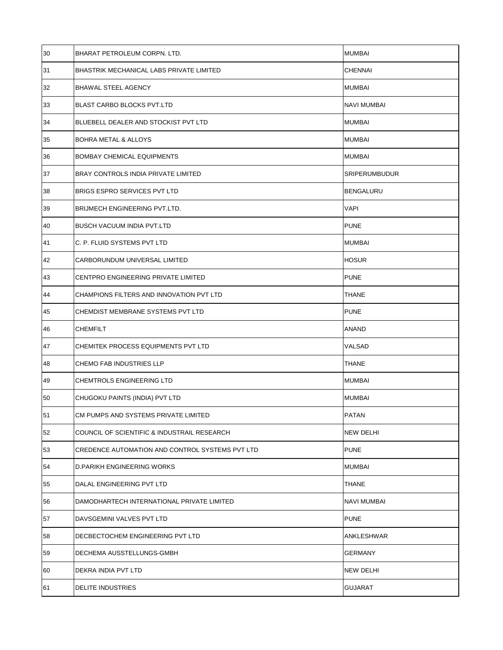| 30 | BHARAT PETROLEUM CORPN. LTD.                    | <b>MUMBAI</b>        |
|----|-------------------------------------------------|----------------------|
| 31 | BHASTRIK MECHANICAL LABS PRIVATE LIMITED        | <b>CHENNAI</b>       |
| 32 | <b>BHAWAL STEEL AGENCY</b>                      | <b>MUMBAI</b>        |
| 33 | <b>BLAST CARBO BLOCKS PVT.LTD</b>               | <b>NAVI MUMBAI</b>   |
| 34 | BLUEBELL DEALER AND STOCKIST PVT LTD            | <b>MUMBAI</b>        |
| 35 | <b>BOHRA METAL &amp; ALLOYS</b>                 | <b>MUMBAI</b>        |
| 36 | <b>BOMBAY CHEMICAL EQUIPMENTS</b>               | <b>MUMBAI</b>        |
| 37 | BRAY CONTROLS INDIA PRIVATE LIMITED             | <b>SRIPERUMBUDUR</b> |
| 38 | <b>BRIGS ESPRO SERVICES PVT LTD</b>             | <b>BENGALURU</b>     |
| 39 | BRIJMECH ENGINEERING PVT.LTD.                   | <b>VAPI</b>          |
| 40 | <b>BUSCH VACUUM INDIA PVT.LTD</b>               | <b>PUNE</b>          |
| 41 | C. P. FLUID SYSTEMS PVT LTD                     | <b>MUMBAI</b>        |
| 42 | CARBORUNDUM UNIVERSAL LIMITED                   | <b>HOSUR</b>         |
| 43 | CENTPRO ENGINEERING PRIVATE LIMITED             | <b>PUNE</b>          |
| 44 | CHAMPIONS FILTERS AND INNOVATION PVT LTD        | <b>THANE</b>         |
| 45 | CHEMDIST MEMBRANE SYSTEMS PVT LTD               | <b>PUNE</b>          |
|    |                                                 |                      |
| 46 | <b>CHEMFILT</b>                                 | <b>ANAND</b>         |
| 47 | CHEMITEK PROCESS EQUIPMENTS PVT LTD             | VALSAD               |
| 48 | CHEMO FAB INDUSTRIES LLP                        | <b>THANE</b>         |
| 49 | <b>CHEMTROLS ENGINEERING LTD</b>                | <b>MUMBAI</b>        |
| 50 | CHUGOKU PAINTS (INDIA) PVT LTD                  | <b>MUMBAI</b>        |
| 51 | CM PUMPS AND SYSTEMS PRIVATE LIMITED            | <b>PATAN</b>         |
| 52 | COUNCIL OF SCIENTIFIC & INDUSTRAIL RESEARCH     | NEW DELHI            |
| 53 | CREDENCE AUTOMATION AND CONTROL SYSTEMS PVT LTD | <b>PUNE</b>          |
| 54 | D.PARIKH ENGINEERING WORKS                      | <b>MUMBAI</b>        |
| 55 | DALAL ENGINEERING PVT LTD                       | <b>THANE</b>         |
| 56 | DAMODHARTECH INTERNATIONAL PRIVATE LIMITED      | NAVI MUMBAI          |
| 57 | DAVSGEMINI VALVES PVT LTD                       | <b>PUNE</b>          |
| 58 | DECBECTOCHEM ENGINEERING PVT LTD                | ANKLESHWAR           |
| 59 | DECHEMA AUSSTELLUNGS-GMBH                       | <b>GERMANY</b>       |
| 60 | DEKRA INDIA PVT LTD                             | <b>NEW DELHI</b>     |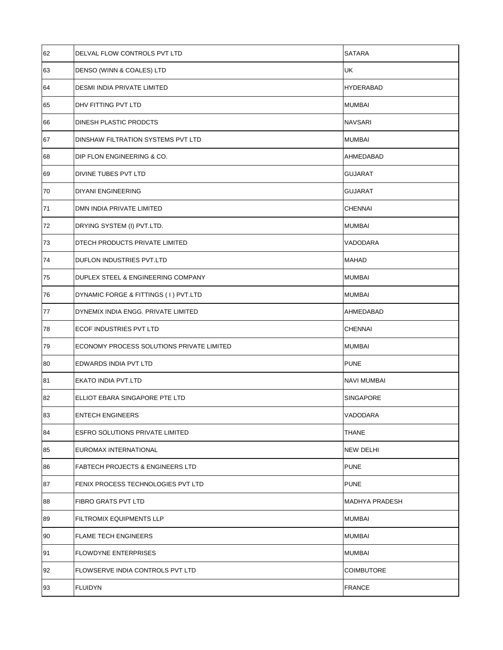| 62 | DELVAL FLOW CONTROLS PVT LTD                | <b>SATARA</b>         |
|----|---------------------------------------------|-----------------------|
| 63 | DENSO (WINN & COALES) LTD                   | <b>UK</b>             |
| 64 | DESMI INDIA PRIVATE LIMITED                 | <b>HYDERABAD</b>      |
| 65 | DHV FITTING PVT LTD                         | <b>MUMBAI</b>         |
| 66 | DINESH PLASTIC PRODCTS                      | <b>NAVSARI</b>        |
| 67 | DINSHAW FILTRATION SYSTEMS PVT LTD          | <b>MUMBAI</b>         |
| 68 | DIP FLON ENGINEERING & CO.                  | AHMEDABAD             |
| 69 | DIVINE TUBES PVT LTD                        | <b>GUJARAT</b>        |
| 70 | DIYANI ENGINEERING                          | <b>GUJARAT</b>        |
| 71 | DMN INDIA PRIVATE LIMITED                   | <b>CHENNAI</b>        |
| 72 | DRYING SYSTEM (I) PVT.LTD.                  | <b>MUMBAI</b>         |
| 73 | DTECH PRODUCTS PRIVATE LIMITED              | VADODARA              |
| 74 | DUFLON INDUSTRIES PVT.LTD                   | <b>MAHAD</b>          |
| 75 | DUPLEX STEEL & ENGINEERING COMPANY          | <b>MUMBAI</b>         |
| 76 | DYNAMIC FORGE & FITTINGS (1) PVT.LTD        | <b>MUMBAI</b>         |
| 77 | DYNEMIX INDIA ENGG. PRIVATE LIMITED         | AHMEDABAD             |
| 78 | ECOF INDUSTRIES PVT LTD                     | <b>CHENNAI</b>        |
| 79 | ECONOMY PROCESS SOLUTIONS PRIVATE LIMITED   | <b>MUMBAI</b>         |
| 80 | EDWARDS INDIA PVT LTD                       | <b>PUNE</b>           |
| 81 | EKATO INDIA PVT.LTD                         | <b>NAVI MUMBAI</b>    |
| 82 | ELLIOT EBARA SINGAPORE PTE LTD              | SINGAPORE             |
| 83 | <b>ENTECH ENGINEERS</b>                     | VADODARA              |
| 84 | ESFRO SOLUTIONS PRIVATE LIMITED             | <b>THANE</b>          |
| 85 | EUROMAX INTERNATIONAL                       | NEW DELHI             |
| 86 | <b>FABTECH PROJECTS &amp; ENGINEERS LTD</b> | <b>PUNE</b>           |
| 87 | FENIX PROCESS TECHNOLOGIES PVT LTD          | <b>PUNE</b>           |
| 88 | FIBRO GRATS PVT LTD                         | <b>MADHYA PRADESH</b> |
| 89 | <b>FILTROMIX EQUIPMENTS LLP</b>             | <b>MUMBAI</b>         |
| 90 | <b>FLAME TECH ENGINEERS</b>                 | <b>MUMBAI</b>         |
| 91 | <b>FLOWDYNE ENTERPRISES</b>                 | <b>MUMBAI</b>         |
| 92 | FLOWSERVE INDIA CONTROLS PVT LTD            | <b>COIMBUTORE</b>     |
| 93 | <b>FLUIDYN</b>                              | <b>FRANCE</b>         |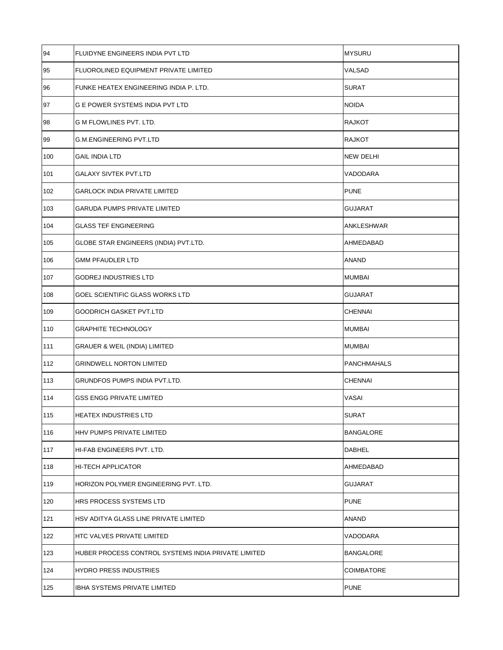| 94  | FLUIDYNE ENGINEERS INDIA PVT LTD                    | <b>MYSURU</b>      |
|-----|-----------------------------------------------------|--------------------|
| 95  | FLUOROLINED EQUIPMENT PRIVATE LIMITED               | VALSAD             |
| 96  | FUNKE HEATEX ENGINEERING INDIA P. LTD.              | <b>SURAT</b>       |
| 97  | <b>G E POWER SYSTEMS INDIA PVT LTD</b>              | <b>NOIDA</b>       |
| 98  | G M FLOWLINES PVT. LTD.                             | <b>RAJKOT</b>      |
| 99  | <b>G.M.ENGINEERING PVT.LTD</b>                      | <b>RAJKOT</b>      |
| 100 | <b>GAIL INDIA LTD</b>                               | <b>NEW DELHI</b>   |
| 101 | <b>GALAXY SIVTEK PVT.LTD</b>                        | VADODARA           |
| 102 | <b>GARLOCK INDIA PRIVATE LIMITED</b>                | <b>PUNE</b>        |
| 103 | <b>GARUDA PUMPS PRIVATE LIMITED</b>                 | <b>GUJARAT</b>     |
| 104 | <b>GLASS TEF ENGINEERING</b>                        | ANKLESHWAR         |
| 105 | GLOBE STAR ENGINEERS (INDIA) PVT.LTD.               | AHMEDABAD          |
| 106 | <b>GMM PFAUDLER LTD</b>                             | <b>ANAND</b>       |
| 107 | <b>GODREJ INDUSTRIES LTD</b>                        | MUMBAI             |
| 108 | GOEL SCIENTIFIC GLASS WORKS LTD                     | <b>GUJARAT</b>     |
| 109 | <b>GOODRICH GASKET PVT.LTD</b>                      | <b>CHENNAI</b>     |
| 110 | <b>GRAPHITE TECHNOLOGY</b>                          | <b>MUMBAI</b>      |
| 111 | <b>GRAUER &amp; WEIL (INDIA) LIMITED</b>            | <b>MUMBAI</b>      |
| 112 | <b>GRINDWELL NORTON LIMITED</b>                     | <b>PANCHMAHALS</b> |
| 113 | GRUNDFOS PUMPS INDIA PVT.LTD.                       | <b>CHENNAI</b>     |
| 114 | <b>GSS ENGG PRIVATE LIMITED</b>                     | VASAI              |
| 115 | HEATEX INDUSTRIES LTD                               | <b>SURAT</b>       |
| 116 | HHV PUMPS PRIVATE LIMITED                           | <b>BANGALORE</b>   |
| 117 | HI-FAB ENGINEERS PVT. LTD.                          | <b>DABHEL</b>      |
| 118 | <b>HI-TECH APPLICATOR</b>                           | AHMEDABAD          |
| 119 | HORIZON POLYMER ENGINEERING PVT. LTD.               | <b>GUJARAT</b>     |
| 120 | HRS PROCESS SYSTEMS LTD                             | <b>PUNE</b>        |
| 121 | HSV ADITYA GLASS LINE PRIVATE LIMITED               | <b>ANAND</b>       |
| 122 | <b>HTC VALVES PRIVATE LIMITED</b>                   | VADODARA           |
| 123 | HUBER PROCESS CONTROL SYSTEMS INDIA PRIVATE LIMITED | <b>BANGALORE</b>   |
| 124 | <b>HYDRO PRESS INDUSTRIES</b>                       | <b>COIMBATORE</b>  |
| 125 | IBHA SYSTEMS PRIVATE LIMITED                        | <b>PUNE</b>        |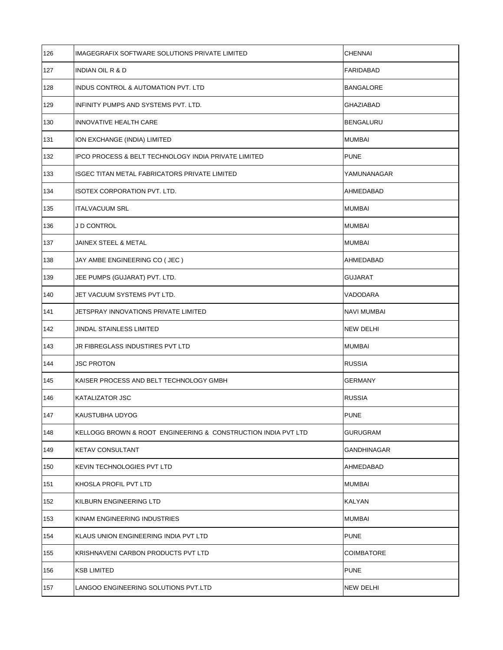| 126 | IMAGEGRAFIX SOFTWARE SOLUTIONS PRIVATE LIMITED                  | <b>CHENNAI</b>     |
|-----|-----------------------------------------------------------------|--------------------|
| 127 | INDIAN OIL R & D                                                | FARIDABAD          |
| 128 | INDUS CONTROL & AUTOMATION PVT. LTD                             | <b>BANGALORE</b>   |
| 129 | INFINITY PUMPS AND SYSTEMS PVT. LTD.                            | <b>GHAZIABAD</b>   |
| 130 | INNOVATIVE HEALTH CARE                                          | <b>BENGALURU</b>   |
| 131 | ION EXCHANGE (INDIA) LIMITED                                    | <b>MUMBAI</b>      |
| 132 | <b>IPCO PROCESS &amp; BELT TECHNOLOGY INDIA PRIVATE LIMITED</b> | <b>PUNE</b>        |
| 133 | <b>ISGEC TITAN METAL FABRICATORS PRIVATE LIMITED</b>            | YAMUNANAGAR        |
| 134 | ISOTEX CORPORATION PVT. LTD.                                    | AHMEDABAD          |
| 135 | <b>ITALVACUUM SRL</b>                                           | <b>MUMBAI</b>      |
| 136 | J D CONTROL                                                     | <b>MUMBAI</b>      |
| 137 | JAINEX STEEL & METAL                                            | <b>MUMBAI</b>      |
| 138 | JAY AMBE ENGINEERING CO (JEC)                                   | AHMEDABAD          |
| 139 | JEE PUMPS (GUJARAT) PVT. LTD.                                   | <b>GUJARAT</b>     |
| 140 | JET VACUUM SYSTEMS PVT LTD.                                     | VADODARA           |
| 141 | JETSPRAY INNOVATIONS PRIVATE LIMITED                            | <b>NAVI MUMBAI</b> |
| 142 | JINDAL STAINLESS LIMITED                                        | <b>NEW DELHI</b>   |
| 143 | JR FIBREGLASS INDUSTIRES PVT LTD                                | <b>MUMBAI</b>      |
| 144 | <b>JSC PROTON</b>                                               | <b>RUSSIA</b>      |
| 145 | KAISER PROCESS AND BELT TECHNOLOGY GMBH                         | <b>GERMANY</b>     |
| 146 | <b>KATALIZATOR JSC</b>                                          | <b>RUSSIA</b>      |
| 147 | KAUSTUBHA UDYOG                                                 | <b>PUNE</b>        |
| 148 | KELLOGG BROWN & ROOT ENGINEERING & CONSTRUCTION INDIA PVT LTD   | <b>GURUGRAM</b>    |
| 149 | KETAV CONSULTANT                                                | GANDHINAGAR        |
| 150 | <b>KEVIN TECHNOLOGIES PVT LTD</b>                               | AHMEDABAD          |
| 151 | KHOSLA PROFIL PVT LTD                                           | <b>MUMBAI</b>      |
| 152 | KILBURN ENGINEERING LTD                                         | <b>KALYAN</b>      |
| 153 | KINAM ENGINEERING INDUSTRIES                                    | <b>MUMBAI</b>      |
| 154 | KLAUS UNION ENGINEERING INDIA PVT LTD                           | <b>PUNE</b>        |
| 155 | KRISHNAVENI CARBON PRODUCTS PVT LTD                             | <b>COIMBATORE</b>  |
| 156 | <b>KSB LIMITED</b>                                              | <b>PUNE</b>        |
| 157 | LANGOO ENGINEERING SOLUTIONS PVT.LTD                            | NEW DELHI          |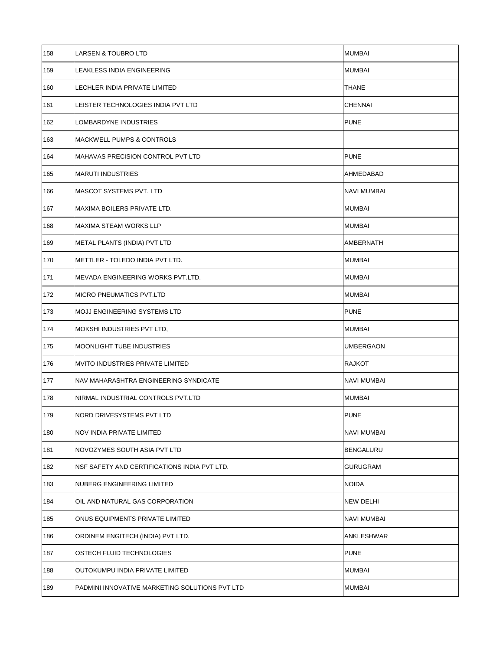| 158 | LARSEN & TOUBRO LTD                            | <b>MUMBAI</b>      |
|-----|------------------------------------------------|--------------------|
| 159 | LEAKLESS INDIA ENGINEERING                     | <b>MUMBAI</b>      |
| 160 | <b>LECHLER INDIA PRIVATE LIMITED</b>           | <b>THANE</b>       |
| 161 | LEISTER TECHNOLOGIES INDIA PVT LTD             | <b>CHENNAI</b>     |
| 162 | LOMBARDYNE INDUSTRIES                          | <b>PUNE</b>        |
| 163 | <b>MACKWELL PUMPS &amp; CONTROLS</b>           |                    |
| 164 | MAHAVAS PRECISION CONTROL PVT LTD              | <b>PUNE</b>        |
| 165 | <b>MARUTI INDUSTRIES</b>                       | AHMEDABAD          |
| 166 | MASCOT SYSTEMS PVT. LTD                        | <b>NAVI MUMBAI</b> |
| 167 | MAXIMA BOILERS PRIVATE LTD.                    | <b>MUMBAI</b>      |
| 168 | <b>MAXIMA STEAM WORKS LLP</b>                  | <b>MUMBAI</b>      |
| 169 | METAL PLANTS (INDIA) PVT LTD                   | AMBERNATH          |
| 170 | METTLER - TOLEDO INDIA PVT LTD.                | <b>MUMBAI</b>      |
| 171 | MEVADA ENGINEERING WORKS PVT.LTD.              | <b>MUMBAI</b>      |
| 172 | <b>MICRO PNEUMATICS PVT.LTD</b>                | <b>MUMBAI</b>      |
| 173 | <b>MOJJ ENGINEERING SYSTEMS LTD</b>            | <b>PUNE</b>        |
| 174 | MOKSHI INDUSTRIES PVT LTD,                     | <b>MUMBAI</b>      |
| 175 | <b>MOONLIGHT TUBE INDUSTRIES</b>               | <b>UMBERGAON</b>   |
| 176 | <b>MVITO INDUSTRIES PRIVATE LIMITED</b>        | <b>RAJKOT</b>      |
| 177 | NAV MAHARASHTRA ENGINEERING SYNDICATE          | <b>NAVI MUMBAI</b> |
| 178 | NIRMAL INDUSTRIAL CONTROLS PVT.LTD             | <b>MUMBAI</b>      |
| 179 | NORD DRIVESYSTEMS PVT LTD                      | <b>PUNE</b>        |
| 180 | NOV INDIA PRIVATE LIMITED                      | <b>NAVI MUMBAI</b> |
| 181 | NOVOZYMES SOUTH ASIA PVT LTD                   | <b>BENGALURU</b>   |
| 182 | NSF SAFETY AND CERTIFICATIONS INDIA PVT LTD.   | <b>GURUGRAM</b>    |
| 183 | NUBERG ENGINEERING LIMITED                     | <b>NOIDA</b>       |
| 184 | OIL AND NATURAL GAS CORPORATION                | <b>NEW DELHI</b>   |
| 185 | ONUS EQUIPMENTS PRIVATE LIMITED                | <b>NAVI MUMBAI</b> |
| 186 | ORDINEM ENGITECH (INDIA) PVT LTD.              | ANKLESHWAR         |
| 187 | OSTECH FLUID TECHNOLOGIES                      | <b>PUNE</b>        |
| 188 | OUTOKUMPU INDIA PRIVATE LIMITED                | <b>MUMBAI</b>      |
| 189 | PADMINI INNOVATIVE MARKETING SOLUTIONS PVT LTD | <b>MUMBAI</b>      |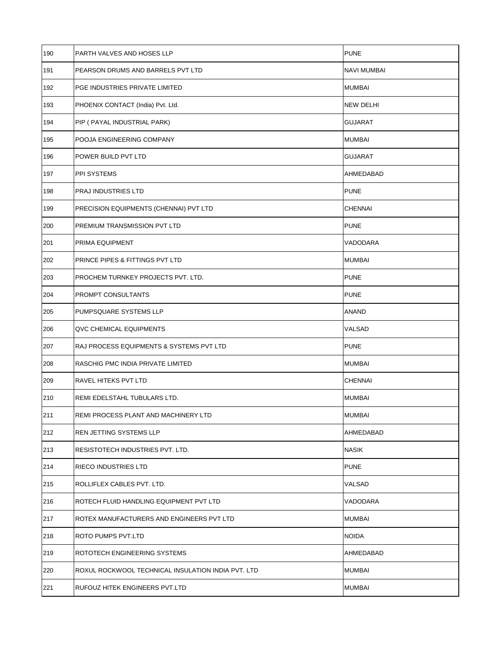| 190 | PARTH VALVES AND HOSES LLP                         | <b>PUNE</b>        |
|-----|----------------------------------------------------|--------------------|
| 191 | PEARSON DRUMS AND BARRELS PVT LTD                  | <b>NAVI MUMBAI</b> |
| 192 | PGE INDUSTRIES PRIVATE LIMITED                     | <b>MUMBAI</b>      |
| 193 | PHOENIX CONTACT (India) Pvt. Ltd.                  | <b>NEW DELHI</b>   |
| 194 | PIP ( PAYAL INDUSTRIAL PARK)                       | <b>GUJARAT</b>     |
| 195 | POOJA ENGINEERING COMPANY                          | <b>MUMBAI</b>      |
| 196 | POWER BUILD PVT LTD                                | <b>GUJARAT</b>     |
| 197 | PPI SYSTEMS                                        | AHMEDABAD          |
| 198 | PRAJ INDUSTRIES LTD                                | <b>PUNE</b>        |
| 199 | PRECISION EQUIPMENTS (CHENNAI) PVT LTD             | <b>CHENNAI</b>     |
| 200 | PREMIUM TRANSMISSION PVT LTD                       | <b>PUNE</b>        |
| 201 | PRIMA EQUIPMENT                                    | VADODARA           |
| 202 | PRINCE PIPES & FITTINGS PVT LTD                    | <b>MUMBAI</b>      |
| 203 | PROCHEM TURNKEY PROJECTS PVT. LTD.                 | <b>PUNE</b>        |
| 204 | PROMPT CONSULTANTS                                 | <b>PUNE</b>        |
| 205 | PUMPSQUARE SYSTEMS LLP                             | <b>ANAND</b>       |
| 206 | QVC CHEMICAL EQUIPMENTS                            | VALSAD             |
| 207 | RAJ PROCESS EQUIPMENTS & SYSTEMS PVT LTD           | <b>PUNE</b>        |
| 208 | RASCHIG PMC INDIA PRIVATE LIMITED                  | <b>MUMBAI</b>      |
| 209 | RAVEL HITEKS PVT LTD                               | <b>CHENNAI</b>     |
| 210 | REMI EDELSTAHL TUBULARS LTD.                       | <b>MUMBAI</b>      |
| 211 | REMI PROCESS PLANT AND MACHINERY LTD               | <b>MUMBAI</b>      |
| 212 | REN JETTING SYSTEMS LLP                            | AHMEDABAD          |
| 213 | RESISTOTECH INDUSTRIES PVT. LTD.                   | <b>NASIK</b>       |
| 214 | RIECO INDUSTRIES LTD                               | <b>PUNE</b>        |
| 215 | ROLLIFLEX CABLES PVT. LTD.                         | <b>VALSAD</b>      |
| 216 | ROTECH FLUID HANDLING EQUIPMENT PVT LTD            | VADODARA           |
| 217 | ROTEX MANUFACTURERS AND ENGINEERS PVT LTD          | <b>MUMBAI</b>      |
| 218 | ROTO PUMPS PVT.LTD                                 | <b>NOIDA</b>       |
| 219 | ROTOTECH ENGINEERING SYSTEMS                       | AHMEDABAD          |
| 220 | ROXUL ROCKWOOL TECHNICAL INSULATION INDIA PVT. LTD | <b>MUMBAI</b>      |
| 221 | RUFOUZ HITEK ENGINEERS PVT.LTD                     | <b>MUMBAI</b>      |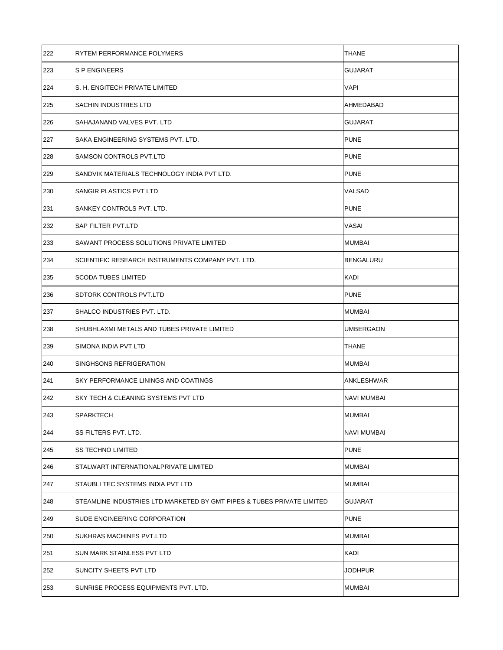| 222 | RYTEM PERFORMANCE POLYMERS                                             | <b>THANE</b>       |
|-----|------------------------------------------------------------------------|--------------------|
| 223 | <b>SPENGINEERS</b>                                                     | GUJARAT            |
| 224 | S. H. ENGITECH PRIVATE LIMITED                                         | <b>VAPI</b>        |
| 225 | SACHIN INDUSTRIES LTD                                                  | AHMEDABAD          |
| 226 | SAHAJANAND VALVES PVT. LTD                                             | <b>GUJARAT</b>     |
| 227 | SAKA ENGINEERING SYSTEMS PVT. LTD.                                     | <b>PUNE</b>        |
| 228 | SAMSON CONTROLS PVT.LTD                                                | <b>PUNE</b>        |
| 229 | SANDVIK MATERIALS TECHNOLOGY INDIA PVT LTD.                            | <b>PUNE</b>        |
| 230 | SANGIR PLASTICS PVT LTD                                                | VALSAD             |
| 231 | SANKEY CONTROLS PVT. LTD.                                              | <b>PUNE</b>        |
| 232 | SAP FILTER PVT.LTD                                                     | VASAI              |
| 233 | SAWANT PROCESS SOLUTIONS PRIVATE LIMITED                               | <b>MUMBAI</b>      |
| 234 | SCIENTIFIC RESEARCH INSTRUMENTS COMPANY PVT. LTD.                      | <b>BENGALURU</b>   |
| 235 | <b>SCODA TUBES LIMITED</b>                                             | KADI               |
| 236 | SDTORK CONTROLS PVT.LTD                                                | <b>PUNE</b>        |
| 237 | SHALCO INDUSTRIES PVT. LTD.                                            | <b>MUMBAI</b>      |
| 238 | SHUBHLAXMI METALS AND TUBES PRIVATE LIMITED                            | UMBERGAON          |
| 239 | SIMONA INDIA PVT LTD                                                   | <b>THANE</b>       |
| 240 | SINGHSONS REFRIGERATION                                                | <b>MUMBAI</b>      |
| 241 | SKY PERFORMANCE LININGS AND COATINGS                                   | <b>ANKLESHWAR</b>  |
| 242 | SKY TECH & CLEANING SYSTEMS PVT LTD                                    | <b>NAVI MUMBAI</b> |
| 243 | SPARKTECH                                                              | <b>MUMBAI</b>      |
| 244 | SS FILTERS PVT. LTD.                                                   | <b>NAVI MUMBAI</b> |
| 245 | SS TECHNO LIMITED                                                      | <b>PUNE</b>        |
| 246 | STALWART INTERNATIONALPRIVATE LIMITED                                  | <b>MUMBAI</b>      |
| 247 | STAUBLI TEC SYSTEMS INDIA PVT LTD                                      | <b>MUMBAI</b>      |
| 248 | STEAMLINE INDUSTRIES LTD MARKETED BY GMT PIPES & TUBES PRIVATE LIMITED | <b>GUJARAT</b>     |
| 249 | SUDE ENGINEERING CORPORATION                                           | <b>PUNE</b>        |
| 250 | SUKHRAS MACHINES PVT.LTD                                               | <b>MUMBAI</b>      |
| 251 | SUN MARK STAINLESS PVT LTD                                             | KADI               |
| 252 | SUNCITY SHEETS PVT LTD                                                 | <b>JODHPUR</b>     |
| 253 | SUNRISE PROCESS EQUIPMENTS PVT. LTD.                                   | <b>MUMBAI</b>      |